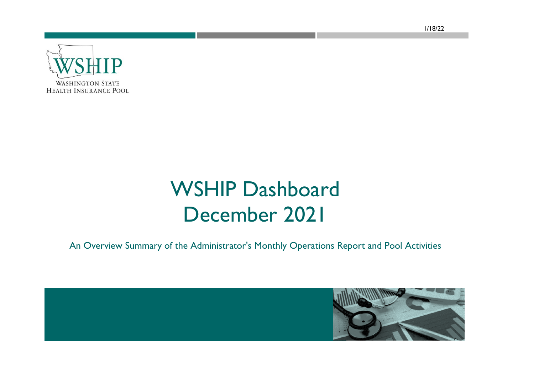**WASHINGTON STATE HEALTH INSURANCE POOL** 

## WSHIP Dashboard December 2021

An Overview Summary of the Administrator's Monthly Operations Report and Pool Activities

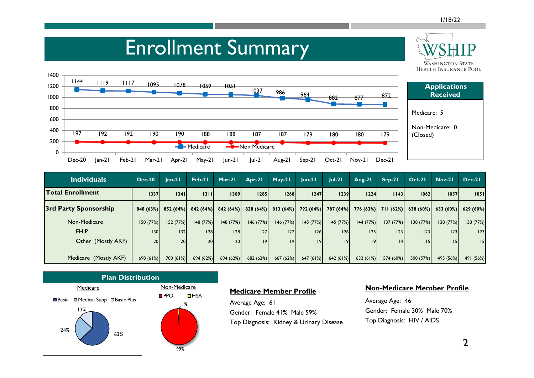#### Enrollment Summary **WASHINGTON STATE HEALTH INSURANCE POOL** 1400 <sup>1144</sup> <sup>1119</sup> <sup>1117</sup> <sup>1095</sup> <sup>1078</sup> <sup>1059</sup> <sup>1051</sup> 1200 **Applications**  <sup>1037</sup> <sup>986</sup> <sup>964</sup> <sup>882</sup> <sup>877</sup> <sup>872</sup> **Received** 1000 800 Medicare: 5 600 Non-Medicare: 0 400 197 192 192 190 190 188 188 187 187 179 180 180 179 (Closed) 200 Medicare **Non Medicare**  $\Omega$ Dec-20 Jan-21 Feb-21 Mar-21 Apr-21 May-21 Jun-21 Jul-21 Aug-21 Sep-21 Oct-21 Nov-21 Dec-21

| <b>Individuals</b>      | $Dec-20$ | $lan-21$             | Feb-21    | $Mar-21$  | $Arr-21$             | $May-21$  | $lun-2l$  | $ ul-2 $            | Aug-21    | $Sep-21$             | $Oct-21$  | $Nov-21$  | $Dec-21$  |
|-------------------------|----------|----------------------|-----------|-----------|----------------------|-----------|-----------|---------------------|-----------|----------------------|-----------|-----------|-----------|
| <b>Total Enrollment</b> | 1337     | 1341                 | 1311      | 1309      | 1285                 | 1268      | 1247      | 1239                | 1224      | 1143                 | 1062      | 1057      | 1051      |
| 3rd Party Sponsorship   |          | $848(63%)$ 852 (64%) | 842 (64%) |           | $842(64%)$ 828 (64%) | 813(64%)  |           | 792 (64%) 787 (64%) |           | $776(63%)$ 711 (62%) | 638(60%)  | 633(60%)  | 629 (60%) |
| Non-Medicare            | 150(77%) | 152(77%)             | 148 (77%) | 148(77%)  | 146(77%)             | 146 (77%) | 145 (77%) | 145 (77%)           | 144 (77%) | 137(77%)             | 138(77%)  | 138(77%)  | 138 (77%) |
| <b>EHIP</b>             | 130      | 132                  | 28        | 28        | 27                   | 127       | 126       | 26                  | 25        | 23                   | 123       | 23        | 123       |
| Other (Mostly AKF)      | 20       | 20 <sub>l</sub>      | 20        | 20        | 9                    | 9         | 9         | 9                   | 9         | 4                    |           |           | 15        |
|                         |          |                      |           |           |                      |           |           |                     |           |                      |           |           |           |
| Medicare (Mostly AKF)   | 698(61%) | 700 (61%)            | 694 (62%) | 694 (62%) | 682 (62%)            | 667 (62%) | 647(61%)  | 642 (61%)           | 632 (61%) | 574 (60%)            | 500 (57%) | 495 (56%) | 491 (56%) |



### **Medicare Member Profile**

Average Age: 61 Gender: Female 41% Male 59% Top Diagnosis: Kidney & Urinary Disease

### **Non-Medicare Member Profile**

Average Age: 46 Gender: Female 30% Male 70% Top Diagnosis: HIV / AIDS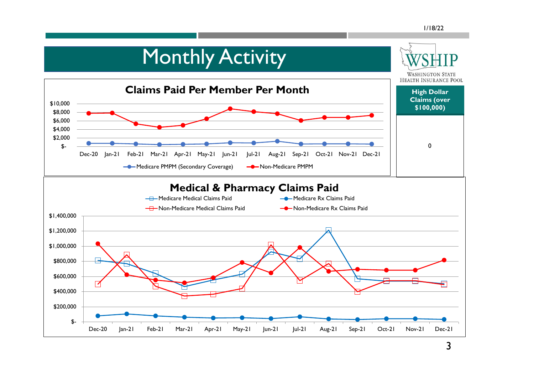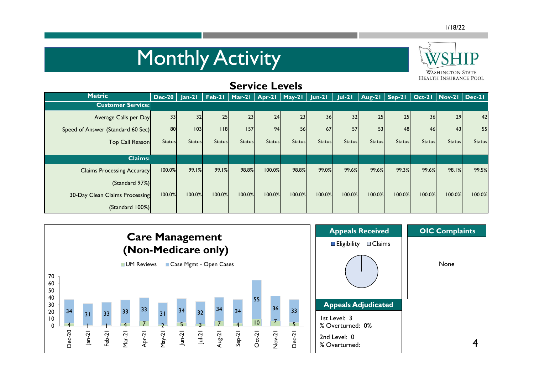# **Monthly Activity**



| <b>Service Levels</b>             |                 |               |                                            |               |               |               |               |               |               |               |               |                                                               |               |
|-----------------------------------|-----------------|---------------|--------------------------------------------|---------------|---------------|---------------|---------------|---------------|---------------|---------------|---------------|---------------------------------------------------------------|---------------|
| <b>Metric</b>                     | $Dec-20$ Jan-21 |               | Feb-21   Mar-21   Apr-21   May-21   Jun-21 |               |               |               |               | $Jul-21$      |               |               |               | $\sqrt{ \text{Aug-21}   \text{Sep-21} }$ Oct-21 Nov-21 Dec-21 |               |
| <b>Customer Service:</b>          |                 |               |                                            |               |               |               |               |               |               |               |               |                                                               |               |
| Average Calls per Day             | 33              | 32            | 25                                         | 23            | 24            | 23            | 36            | 32            | 25            | 25            | 36            | 29                                                            | 42            |
| Speed of Answer (Standard 60 Sec) | 80              | 103           | 18                                         | 157           | 94            | 56            | 67            | 57            | 53            | 48            | 46            | 43                                                            | 55            |
| Top Call Reason                   | <b>Status</b>   | <b>Status</b> | <b>Status</b>                              | <b>Status</b> | <b>Status</b> | <b>Status</b> | <b>Status</b> | <b>Status</b> | <b>Status</b> | <b>Status</b> | <b>Status</b> | <b>Status</b>                                                 | <b>Status</b> |
| <b>Claims:</b>                    |                 |               |                                            |               |               |               |               |               |               |               |               |                                                               |               |
| <b>Claims Processing Accuracy</b> | 100.0%          | 99.1%         | 99.1%                                      | 98.8%         | 100.0%        | 98.8%         | 99.0%         | 99.6%         | 99.6%         | 99.3%         | 99.6%         | 98.1%                                                         | 99.5%         |
| (Standard 97%)                    |                 |               |                                            |               |               |               |               |               |               |               |               |                                                               |               |
| 30-Day Clean Claims Processing    | 100.0%          | 100.0%        | 100.0%                                     | 100.0%        | 100.0%        | 100.0%        | 100.0%        | 100.0%        | 100.0%        | 100.0%        | 100.0%        | 100.0%                                                        | 100.0%        |
| (Standard 100%)                   |                 |               |                                            |               |               |               |               |               |               |               |               |                                                               |               |